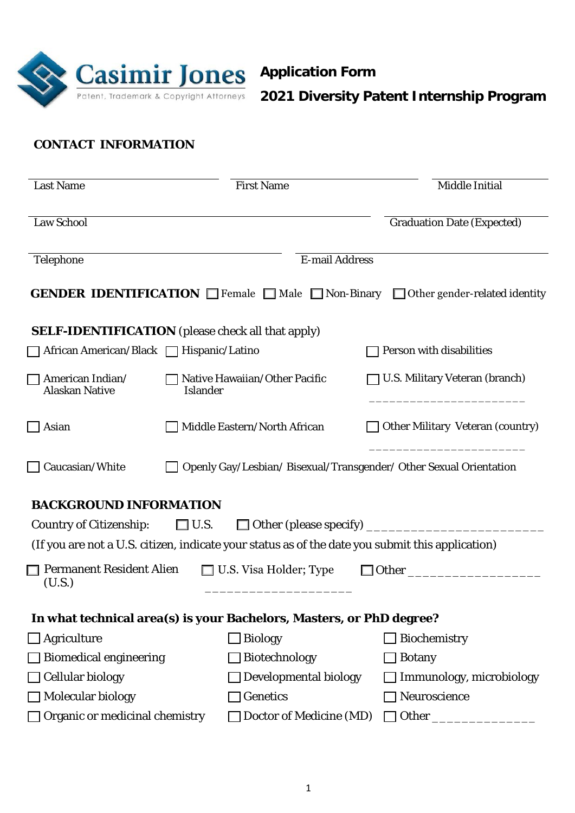

**2021 Diversity Patent Internship Program**

## **CONTACT INFORMATION**

| <b>Last Name</b>                                         |                 | <b>First Name</b>                                                    | <b>Middle Initial</b>                                                                                  |
|----------------------------------------------------------|-----------------|----------------------------------------------------------------------|--------------------------------------------------------------------------------------------------------|
| <b>Law School</b>                                        |                 |                                                                      | <b>Graduation Date (Expected)</b>                                                                      |
| Telephone                                                |                 | <b>E-mail Address</b>                                                |                                                                                                        |
|                                                          |                 |                                                                      | <b>GENDER IDENTIFICATION</b> Female $\Box$ Male $\Box$ Non-Binary $\Box$ Other gender-related identity |
| <b>SELF-IDENTIFICATION</b> (please check all that apply) |                 |                                                                      |                                                                                                        |
| African American/Black   Hispanic/Latino                 |                 |                                                                      | Person with disabilities                                                                               |
| American Indian/<br><b>Alaskan Native</b>                | <b>Islander</b> | Native Hawaiian/Other Pacific                                        | U.S. Military Veteran (branch)                                                                         |
| Asian                                                    |                 | Middle Eastern/North African                                         | <b>Other Military Veteran (country)</b>                                                                |
| Caucasian/White                                          |                 |                                                                      | Openly Gay/Lesbian/Bisexual/Transgender/Other Sexual Orientation                                       |
| <b>BACKGROUND INFORMATION</b>                            |                 |                                                                      |                                                                                                        |
| <b>Country of Citizenship:</b>                           | $\Box$ U.S.     |                                                                      |                                                                                                        |
|                                                          |                 |                                                                      | (If you are not a U.S. citizen, indicate your status as of the date you submit this application)       |
| Permanent Resident Alien<br>(U.S.)                       |                 | $\Box$ U.S. Visa Holder; Type                                        | $\Box$ Other                                                                                           |
|                                                          |                 | In what technical area(s) is your Bachelors, Masters, or PhD degree? |                                                                                                        |
| $\Box$ Agriculture                                       |                 | <b>Biology</b>                                                       | Biochemistry                                                                                           |
| $\Box$ Biomedical engineering                            |                 | Biotechnology                                                        | <b>Botany</b>                                                                                          |
| $\Box$ Cellular biology                                  |                 | Developmental biology                                                | Immunology, microbiology                                                                               |
| $\Box$ Molecular biology                                 |                 | <b>Genetics</b>                                                      | Neuroscience                                                                                           |
| $\Box$ Organic or medicinal chemistry                    |                 | Doctor of Medicine (MD)                                              | $\Box$ Other _______                                                                                   |